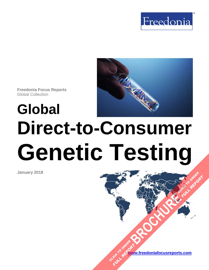

**Freedonia Focus Reports** Global Collection

# **Global Direct-to-Consumer Genetic Testing**

**January 2018**

**[www.freedoniafocusreports.com](https://www.freedoniafocusreports.com/redirect.asp?progid=89534&url=/)** CLICK TO ORDER **FULL REPORT** 

**[BROCHURE](https://www.freedoniafocusreports.com/Global-Direct-to-Consumer-Genetic-Testing-FW40079/?progid=89541) CLICK TO ORDER** 

**FULL REPORT**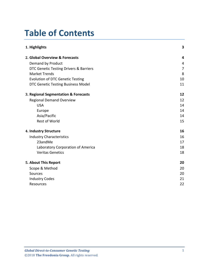# **Table of Contents**

| 1. Highlights                           | 3              |
|-----------------------------------------|----------------|
| 2. Global Overview & Forecasts          | 4              |
| Demand by Product                       | 4              |
| DTC Genetic Testing Drivers & Barriers  | $\overline{7}$ |
| <b>Market Trends</b>                    | 8              |
| <b>Evolution of DTC Genetic Testing</b> | 10             |
| DTC Genetic Testing Business Model      | 11             |
| 3. Regional Segmentation & Forecasts    | 12             |
| <b>Regional Demand Overview</b>         | 12             |
| <b>USA</b>                              | 14             |
| Europe                                  | 14             |
| Asia/Pacific                            | 14             |
| <b>Rest of World</b>                    | 15             |
| 4. Industry Structure                   | 16             |
| <b>Industry Characteristics</b>         | 16             |
| 23andMe                                 | 17             |
| Laboratory Corporation of America       | 18             |
| <b>Veritas Genetics</b>                 | 18             |
| 5. About This Report                    | 20             |
| Scope & Method                          | 20             |
| <b>Sources</b>                          | 20             |
| <b>Industry Codes</b>                   | 21             |
| <b>Resources</b>                        | 22             |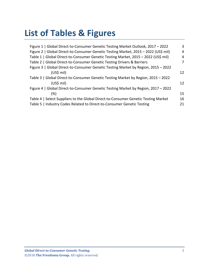# **List of Tables & Figures**

| Figure 1   Global Direct-to-Consumer Genetic Testing Market Outlook, 2017 - 2022    | 3              |
|-------------------------------------------------------------------------------------|----------------|
| Figure 2   Global Direct-to-Consumer Genetic Testing Market, 2015 - 2022 (US\$ mil) | $\overline{4}$ |
| Table 1   Global Direct-to-Consumer Genetic Testing Market, 2015 - 2022 (US\$ mil)  | 4              |
| Table 2   Global Direct-to-Consumer Genetic Testing Drivers & Barriers              | 7              |
| Figure 3   Global Direct-to-Consumer Genetic Testing Market by Region, 2015 - 2022  |                |
| $(US$)$ mil)                                                                        | 12             |
| Table 3   Global Direct-to-Consumer Genetic Testing Market by Region, 2015 - 2022   |                |
| $(US$)$ mil)                                                                        | 12             |
| Figure 4   Global Direct-to-Consumer Genetic Testing Market by Region, 2017 - 2022  |                |
| (%)                                                                                 | 15             |
| Table 4   Select Suppliers to the Global Direct-to-Consumer Genetic Testing Market  | 16             |
| Table 5   Industry Codes Related to Direct-to-Consumer Genetic Testing              | 21             |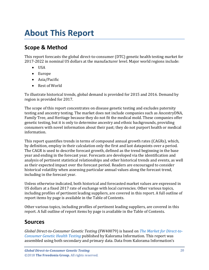# <span id="page-3-0"></span>**About This Report**

# <span id="page-3-1"></span>**Scope & Method**

This report forecasts the global direct-to-consumer (DTC) genetic health testing market for 2017-2022 in nominal US dollars at the manufacturer level. Major world regions include:

- USA
- Europe
- Asia/Pacific
- Rest of World

To illustrate historical trends, global demand is provided for 2015 and 2016. Demand by region is provided for 2017.

The scope of this report concentrates on disease genetic testing and excludes paternity testing and ancestry testing. The market does not include companies such as AncestryDNA, Family Tree, and Heritage because they do not fit the medical mold. These companies offer genetic testing, but it is only to determine ancestry and ethnic backgrounds, providing consumers with novel information about their past; they do not purport health or medical information.

This report quantifies trends in terms of compound annual growth rates (CAGRs), which, by definition, employ in their calculation only the first and last datapoints over a period. The CAGR is used to describe forecast growth, defined as the trend beginning in the base year and ending in the forecast year. Forecasts are developed via the identification and analysis of pertinent statistical relationships and other historical trends and events, as well as their expected impact over the forecast period. Readers are encouraged to consider historical volatility when assessing particular annual values along the forecast trend, including in the forecast year.

Unless otherwise indicated, both historical and forecasted market values are expressed in US dollars at a fixed 2017 rate of exchange with local currencies. Other various topics, including profiles of pertinent leading suppliers, are covered in this report. A full outline of report items by page is available in the Table of Contents.

Other various topics, including profiles of pertinent leading suppliers, are covered in this report. A full outline of report items by page is available in the Table of Contents.

# <span id="page-3-2"></span>**Sources**

*Global Direct-to-Consumer Genetic Testing* (FW40079) is based on *[The Market for Direct-to-](https://www.kaloramainformation.com/Direct-Consumer-Genetic-Health-Testing-11370673/)[Consumer Genetic Health Testing](https://www.kaloramainformation.com/Direct-Consumer-Genetic-Health-Testing-11370673/)* published by Kalorama Information. This report was assembled using both secondary and primary data. Data from Kalorama Information's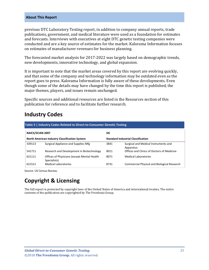#### **About This Report**

previous DTC Laboratory Testing report, in addition to company annual reports, trade publications, government, and medical literature were used as a foundation for estimates and forecasts. Interviews with executives at eight DTC genetic testing companies were conducted and are a key source of estimates for the market. Kalorama Information focuses on estimates of manufacturer revenues for business planning.

The forecasted market analysis for 2017-2022 was largely based on demographic trends, new developments, innovative technology, and global expansion.

It is important to note that the market areas covered by this report are evolving quickly, and that some of the company and technology information may be outdated even as the report goes to press. Kalorama Information is fully aware of these developments. Even though some of the details may have changed by the time this report is published, the major themes, players, and issues remain unchanged.

Specific sources and additional resources are listed in the Resources section of this publication for reference and to facilitate further research.

# <span id="page-4-0"></span>**Industry Codes**

<span id="page-4-1"></span>

| Table 5   Industry Codes Related to Direct-to-Consumer Genetic Testing |                                                                                            |            |                                                    |  |  |
|------------------------------------------------------------------------|--------------------------------------------------------------------------------------------|------------|----------------------------------------------------|--|--|
| NAICS/SCIAN 2007                                                       |                                                                                            | <b>SIC</b> |                                                    |  |  |
|                                                                        | North American Industry Classification System<br><b>Standard Industrial Classification</b> |            |                                                    |  |  |
| 339113                                                                 | Surgical Appliance and Supplies Mfg                                                        | 3841       | Surgical and Medical Instruments and<br>Apparatus  |  |  |
| 541711                                                                 | Research and Development in Biotechnology                                                  | 8011       | Offices and Clinics of Doctors of Medicine         |  |  |
| 621111                                                                 | Offices of Physicians (except Mental Health<br>Specialists)                                | 8071       | <b>Medical Laboratories</b>                        |  |  |
| 621511                                                                 | <b>Medical Laboratories</b>                                                                | 8731       | <b>Commercial Physical and Biological Research</b> |  |  |

Source: US Census Bureau

# **Copyright & Licensing**

The full report is protected by copyright laws of the United States of America and international treaties. The entire contents of the publication are copyrighted by The Freedonia Group.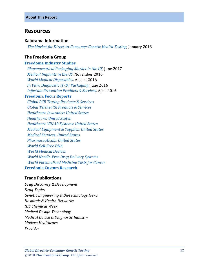## <span id="page-5-0"></span>**Resources**

#### **Kalorama Information**

 *[The Market for Direct-to-Consumer Genetic Health Testing,](https://www.kaloramainformation.com/Direct-Consumer-Genetic-Health-Testing-11370673/)* January 2018

## **The Freedonia Group**

#### **[Freedonia Industry Studies](http://www.freedoniagroup.com/Home.aspx?ReferrerId=FL-Focus)**

 *[Pharmaceutical Packaging Market in the US](http://www.freedoniagroup.com/DocumentDetails.aspx?ReferrerId=FL-FOCUS&studyid=3523)*, June 2017  *[Medical Implants in the US](http://www.freedoniagroup.com/DocumentDetails.aspx?ReferrerId=FL-FOCUS&studyid=3465)*, November 2016  *[World Medical Disposables](http://www.freedoniagroup.com/DocumentDetails.aspx?ReferrerId=FL-FOCUS&studyid=3446)*, August 2016  *[In Vitro Diagnostic \(IVD\) Packaging](http://www.freedoniagroup.com/DocumentDetails.aspx?ReferrerId=FL-FOCUS&studyid=3421)*, June 2016 *[Infection Prevention Products & Services](http://www.freedoniagroup.com/DocumentDetails.aspx?ReferrerId=FL-FOCUS&studyid=3403)*, April 2016

#### **[Freedonia Focus Reports](https://www.freedoniafocusreports.com/redirect.asp?progid=89534&url=/)**

 *[Global PCR Testing Products & Services](https://www.freedoniafocusreports.com/Global-PCR-Testing-Products-Services-FW40073/) [Global Telehealth Products & Services](https://www.freedoniafocusreports.com/Global-Telehealth-Products-Services-FW40077/) [Healthcare Insurance: United States](https://www.freedoniafocusreports.com/Healthcare-Insurance-United-States-8983284/) [Healthcare: United States](https://www.freedoniafocusreports.com/Healthcare-United-States-9513084/) [Healthcare VR/AR Systems: United States](https://www.freedoniafocusreports.com/Healthcare-VR-AR-Systems-United-States-FF40074/) [Medical Equipment & Supplies: United States](https://www.freedoniafocusreports.com/Medical-Equipment-Supplies-United-States-9864009/) [Medical Services: United States](https://www.freedoniafocusreports.com/Medical-Services-United-States-9513114/) [Pharmaceuticals: United States](https://www.freedoniafocusreports.com/Pharmaceuticals-United-States-10048193/) [World Cell-Free DNA](https://www.freedoniafocusreports.com/World-Cell-Free-DNA-10775064/) [World Medical Devices](https://www.freedoniafocusreports.com/World-Medical-Devices-10335318/)  [World Needle-Free Drug Delivery Systems](https://www.freedoniafocusreports.com/World-Needle-Free-Drug-Delivery-Systems-10335315/) [World Personalized Medicine Tests for Cancer](https://www.freedoniafocusreports.com/World-Personalized-Medicine-Tests-for-Cancer-10775061/)* **[Freedonia Custom Research](http://www.freedoniagroup.com/CustomResearch.aspx?ReferrerId=FL-Focus)**

## **Trade Publications**

*Drug Discovery & Development Drug Topics Genetic Engineering & Biotechnology News Hospitals & Health Networks IHS Chemical Week Medical Design Technology Medical Device & Diagnostic Industry Modern Healthcare Provider*